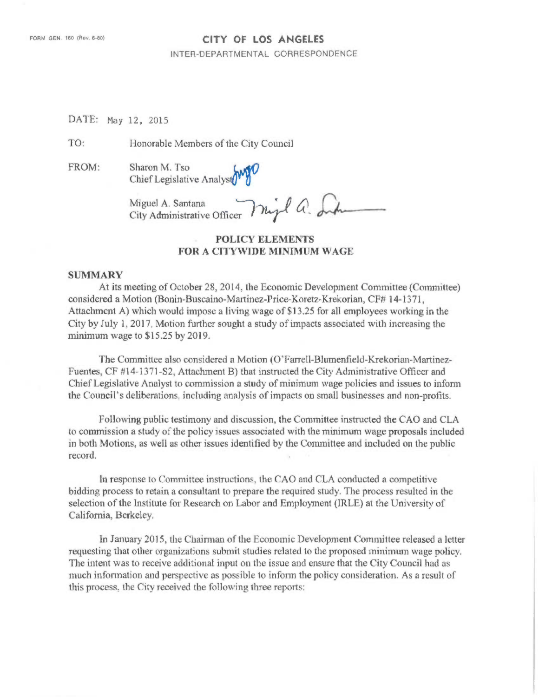### CITY OF LOS ANGELES

INTER-DEPARTMENTAL CORRESPONDENCE

DATE: May 12, 2015

TO: Honorable Members of the City Council

FROM: Sharon M. Tso

Chief Legislative Analys

Miguel A. Santana City Administrative Officer

# POLICY ELEMENTS FOR A CITYWIDE MINIMUM WAGE

#### SUMMARY

At its meeting of October 28, 2014, the Economic Development Committee (Committee) considered a Motion (Bonin-Buscaino-Martinez-Price-Koretz-Krekorian, CF# 14-1371, Attachment A) which would impose a living wage of \$13.25 for all employees working in the City by July 1, 2017, Motion further sought a study of impacts associated with increasing the minimum wage to \$15.25 by 2019.

The Committee also considered a Motion (O'Farrell-Blumenfield-Krekorian-Martinez-Fuentes, CF #14-1371-S2, Attachment B) that instructed the City Administrative Officer and Chief Legislative Analyst to commission a study of minimum wage policies and issues to inform the Council's deliberations. including analysis of impacts on small businesses and non-profits.

Following public testimony and discussion, the Committee instructed the CAO and CLA to commission a study of the policy issues associated with the minimum wage proposals included in both Motions, as well as other issues identified by the Committee and included on the public record.

In response to Committee instructions, the CAO and CLA conducted a competitive bidding process to retain a consultant to prepare the required study. The process resulted in the selection of the Institute for Research on Labor and Employment (IRLE) at the University of California, Berkeley.

In January 2015, the Chairman of the Economic Development Committee released a letter requesting that other organizations submit studies related to the proposed minimum wage policy. The intent was to receive additional input on the issue and ensure that the City Council had as much information and perspective as possible to inform the policy consideration. As a result of this process, the City received the following three reports: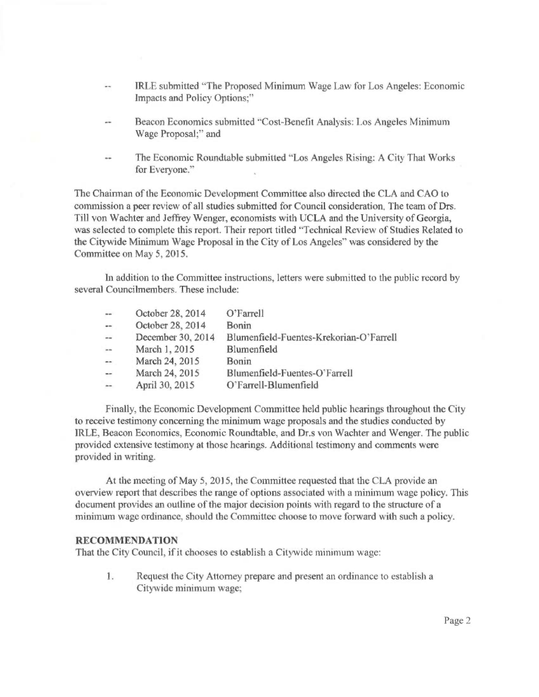- IRLE submitted "The Proposed Minimum Wage Law for Los Angeles: Economic Impacts and Policy Options;"
- Beacon Economics submitted "Cost-Benefit Analysis: Los Angeles Minimum Wage Proposal;" and
- The Economic Roundtable submitted "Los Angeles Rising: A City That Works for Everyone."

The Chairman of the Economic Development Committee also directed the CLA and CAO to commission a peer review of all studies submitted for Council consideration. The team of Drs. Till von Wachter and Jeffrey Wenger, economists with UCLA and the University of Georgia, was selected to complete this report. Their report titled "Technical Review of Studies Related to the Citywide Minimum Wage Proposal in the City of Los Angeles" was considered by the Committee on May 5, 2015.

In addition to the Committee instructions, letters were submitted to the public record by several Councilmembers. These include:

| $\alpha$     | October 28, 2014  | O'Farrell                               |
|--------------|-------------------|-----------------------------------------|
| $\sim$       | October 28, 2014  | <b>Bonin</b>                            |
| $\sim$       | December 30, 2014 | Blumenfield-Fuentes-Krekorian-O'Farrell |
| $\mu\mu$ and | March 1, 2015     | Blumenfield                             |
|              | March 24, 2015    | Bonin                                   |
| $-$          | March 24, 2015    | Blumenfield-Fuentes-O'Farrell           |
|              | April 30, 2015    | O'Farrell-Blumenfield                   |

Finally, the Economic Development Committee held public hearings throughout the City to receive testimony concerning the minimum wage proposals and the studies conducted by IRLE, Beacon Economics, Economic Roundtable, and Dr.s von Wachter and Wenger. The public provided extensive testimony at those hearings. Additional testimony and comments were provided in writing.

At the meeting of May 5, 2015, the Committee requested that the CLA provide an overview report that describes the range of options associated with a minimum wage policy. This document provides an outline of the major decision points with regard to the structure of a minimum wage ordinance, should the Committee choose to move forward with such a policy.

### RECOMMENDATION

That the City Council, if it chooses to establish a Citywide minimum wage:

1. Request the City Attorney prepare and present an ordinance to establish a Citywide minimum wage;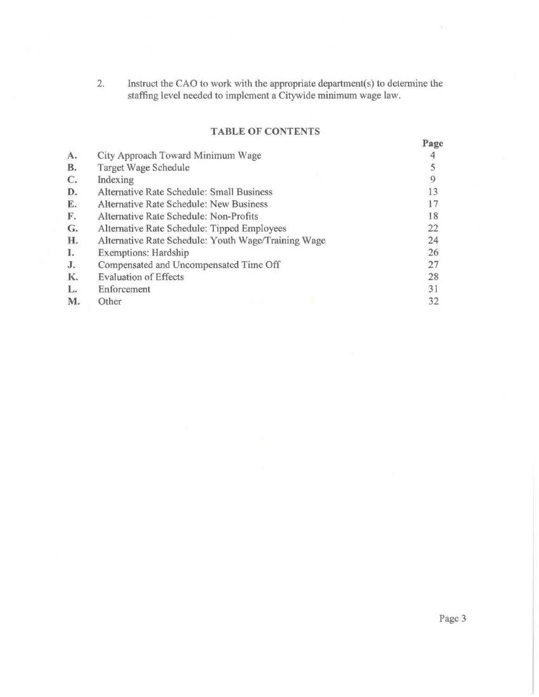2. Instruct the CAC) to work with the appropriate department(s) to determine the staffing level needed to implement a Citywide minimum wage law.

# TABLE OF CONTENTS

|                |                                                     | Page |
|----------------|-----------------------------------------------------|------|
| A.             | City Approach Toward Minimum Wage                   |      |
| B.             | Target Wage Schedule                                | 5    |
| $\mathbb{C}$ . | Indexing                                            | 9    |
| D.             | Alternative Rate Schedule: Small Business           | 13   |
| E.             | Alternative Rate Schedule: New Business             | 17   |
| F.             | Alternative Rate Schedule: Non-Profits              | 18   |
| G.             | Alternative Rate Schedule: Tipped Employees         | 22   |
| H.             | Alternative Rate Schedule: Youth Wage/Training Wage | 24   |
| I.             | <b>Exemptions: Hardship</b>                         | 26   |
| J <sub>r</sub> | Compensated and Uncompensated Time Off              | 27   |
| K.             | <b>Evaluation of Effects</b>                        | 28   |
| L.             | Enforcement                                         | 31   |
| M.             | Other                                               | 32   |

Page 3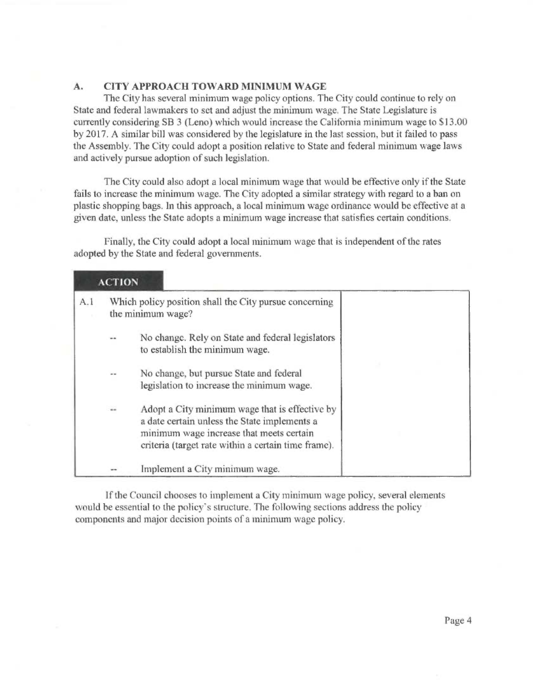### A. CITY APPROACH TOWARD MINIMUM WAGE

The City has several minimum wage policy options. The City could continue to rely on State and federal lawmakers to set and adjust the minimum wage. The State Legislature is currently considering SB 3 (Leno) which would increase the California minimum wage to \$13.00 by 2017. A similar bill was considered by the legislature in the last session, but it failed to pass the Assembly. The City could adopt a position relative to State and federal minimum wage laws and actively pursue adoption of such legislation.

The City could also adopt a local minimum wage that would be effective only if the State fails to increase the minimum wage. The City adopted a similar strategy with regard to a ban on plastic shopping bags. In this approach, a local minimum wage ordinance would be effective at a given date, unless the State adopts a minimum wage increase that satisfies certain conditions.

Finally, the City could adopt a local minimum wage that is independent of the rates adopted by the State and federal governments.

|     | <b>ACTION</b> |                                                                                                                                                                                                   |  |
|-----|---------------|---------------------------------------------------------------------------------------------------------------------------------------------------------------------------------------------------|--|
| A.1 |               | Which policy position shall the City pursue concerning<br>the minimum wage?                                                                                                                       |  |
|     | $= 4$         | No change. Rely on State and federal legislators<br>to establish the minimum wage.                                                                                                                |  |
|     | $=$           | No change, but pursue State and federal<br>legislation to increase the minimum wage.                                                                                                              |  |
|     | w.            | Adopt a City minimum wage that is effective by<br>a date certain unless the State implements a<br>minimum wage increase that meets certain<br>criteria (target rate within a certain time frame). |  |
|     |               | Implement a City minimum wage.                                                                                                                                                                    |  |

If the Council chooses to implement a City minimum wage policy, several elements would be essential to the policy's structure. The following sections address the policy components and major decision points of a minimum wage policy.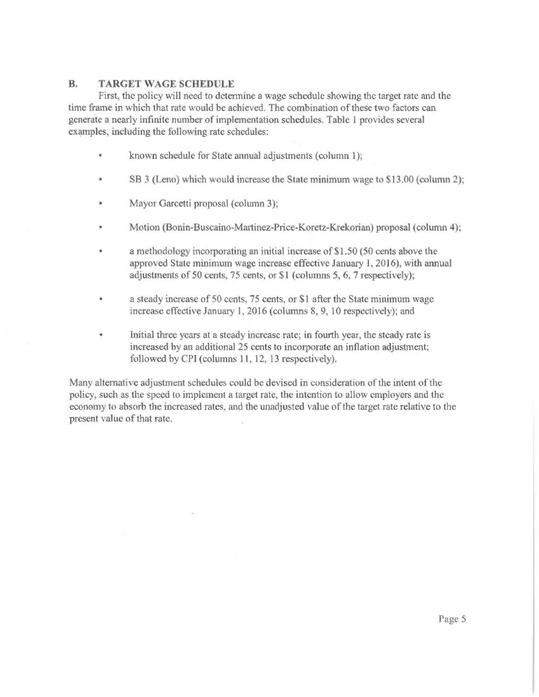## B. TARGET WAGE SCHEDULE

First, the policy will need to determine a wage schedule showing the target rate and the time frame in which that rate would be achieved. The combination of these two factors can generate a nearly infinite number of implementation schedules. Table 1 provides several examples, including the following rate schedules:

- known schedule for State annual adjustments (column 1);  $\bullet$
- SB 3 (Leno) which would increase the State minimum wage to \$13.00 (column 2);
- Mayor Garcetti proposal (column 3);  $\bullet$
- Motion (Bonin-Buscaino-Martinez-Price-Koretz-Krekorian) proposal (column 4);
- a methodology incorporating an initial increase of \$1.50 (50 cents above the approved State minimum wage increase effective January 1, 2016), with annual adjustments of 50 cents, 75 cents, or \$1 (columns 5, 6, 7 respectively);
- a steady increase of 50 cents, 75 cents, or \$1 after the State minimum wage increase effective January 1, 2016 (columns 8, 9, 10 respectively); and
- Initial three years at a steady increase rate; in fourth year, the steady rate is increased by an additional 25 cents to incorporate an inflation adjustment; followed by CPI (columns 11, 12, 13 respectively).

Many alternative adjustment schedules could be devised in consideration of the intent of the policy, such as the speed to implement a target rate, the intention to allow employers and the economy to absorb the increased rates, and the unadjusted value of the target rate relative to the present value of that rate.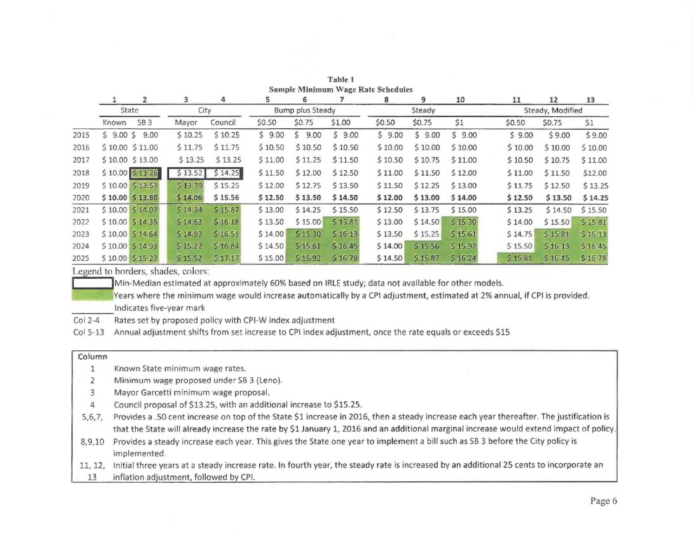|      |              | $\overline{2}$           | 3       | 4       | 5       | 6                |         | 8       | 9       | 10      | 11      | 12               | 13      |
|------|--------------|--------------------------|---------|---------|---------|------------------|---------|---------|---------|---------|---------|------------------|---------|
|      | <b>State</b> |                          | City    |         |         | Bump plus Steady |         |         | Steady  |         |         | Steady, Modified |         |
|      | Known        | <b>SB3</b>               | Mayor   | Council | \$0.50  | \$0.75           | \$1.00  | \$0.50  | \$0.75  | \$1     | \$0.50  | \$0.75           | 51      |
| 2015 |              | $$9.00$$ \$ $9.00$       | 510.25  | \$10.25 | \$9.00  | 9.00<br>Ś.       | 59.00   | 59.00   | \$9.00  | 59.00   | 59.00   | \$9.00           | \$9.00  |
| 2016 |              | \$10.00 \$11.00          | \$11.75 | \$11.75 | \$10.50 | \$10.50          | \$10.50 | \$10.00 | \$10.00 | \$10.00 | \$10.00 | \$10.00          | \$10.00 |
| 2017 |              | \$10.00 \$13.00          | \$13.25 | 513.25  | \$11.00 | 511.25           | \$11.50 | \$10.50 | S 10.75 | \$11.00 | \$10.50 | \$10.75          | \$11.00 |
| 2018 |              | $$10.00 \ 513.26$        | \$13.52 | \$14.25 | \$11.50 | \$12.00          | \$12.50 | \$11.00 | \$11.50 | \$12.00 | \$11.00 | \$11.50          | \$12.00 |
| 2019 |              | \$10.00 \$13.53          | 513.79. | \$15.25 | \$12.00 | \$12.75          | \$13.50 | \$11.50 | 512.25  | \$13.00 | 511.75  | \$12.50          | \$13.25 |
| 2020 |              | $$10.00$ $$13.80$        | \$14.06 | \$15.56 | \$12.50 | \$13.50          | \$14.50 | \$12.00 | \$13.00 | \$14.00 | \$12.50 | \$13.50          | \$14.25 |
| 2021 |              | \$10.00 \$14.07          | 514.34  | \$15.87 | \$13.00 | \$14.25          | \$15.50 | \$12.50 | \$13.75 | \$15.00 | \$13.25 | \$14.50          | \$15.50 |
| 2022 |              | \$10.00 \$14.35          | \$14.63 | \$16.18 | \$13.50 | \$15.00          | \$15.81 | \$13.00 | \$14.50 | \$15.30 | \$14.00 | \$15.50          | \$15.81 |
| 2023 |              | $$10.00$ $$14.64$        | \$14.92 | \$16.51 | \$14.00 | \$15.30          | \$16.13 | \$13.50 | 515.25  | \$15.61 | \$14.75 | \$15.81          | \$16.13 |
| 2024 |              | $$10.00$ $$14.93$        | \$15.22 | \$16.84 | \$14.50 | 515.61           | \$16.45 | \$14.00 | \$15.56 | \$15.92 | \$15.50 | 516.13           | 516.45  |
| 2025 |              | $$10.00 \text{ } $15.23$ | \$15.52 | 517.17  | \$15.00 | \$15.92          | \$16.78 | \$14.50 | \$15.87 | 516.24  | 515.81  | 516.45           | \$16.78 |

Table 1 Sample Minimum Wage Rate Schedules

Legend to borders. shades, colors:

Min-Median estimated at approximately 60% based on IRLE study; data not available for other models.

IlYears where the minimum wage would increase automatically by a CPI adjustment, estimated at 2% annual, if CPI is provided. Indicates five-year mark

Col 2-4 Rates set by proposed policy with CPI-W index adjustment

Col 5-13 Annual adjustment shifts from set increase to CPI index adjustment, once the rate equals or exceeds \$15

#### Column

1 Known State minimum wage rates.

2 Minimum wage proposed under SB 3 (Leno).

- 3 Mayor Garcetti minimum wage proposal.
- 4 Council proposal of \$13.25, with an additional increase to \$15.25.
- 5,6,7, Provides a .50 cent increase on top of the State \$1 increase in 2016, then a steady increase each year thereafter. The justification is that the State will already increase the rate by \$1 January 1, 2016 and an additional marginal increase would extend impact of policy.
- 8,9,10 Provides a steady increase each year. This gives the State one year to implement a bill such as SB 3 before the City policy is implemented.

11, 12, Initial three years at a steady increase rate. In fourth year, the steady rate is increased by an additional 25 cents to incorporate an

13 inflation adjustment, followed by CPI.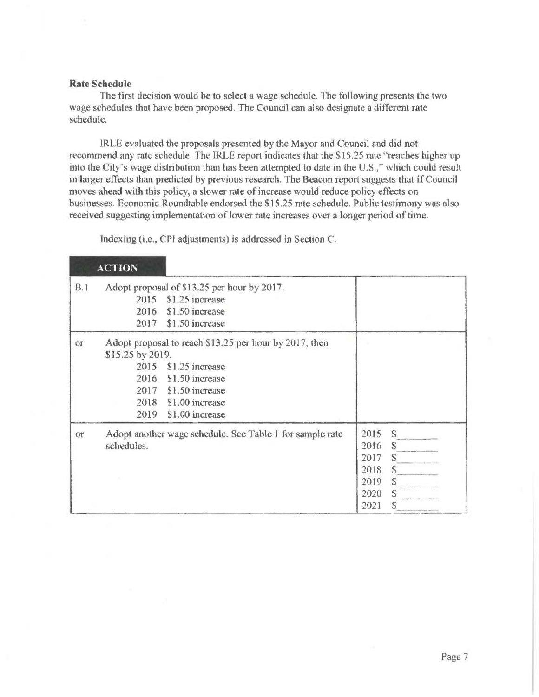### Rate Schedule

The first decision would be to select a wage schedule. The following presents the two wage schedules that have been proposed. The Council can also designate a different rate schedule.

IRLE evaluated the proposals presented by the Mayor and Council and did not recommend any rate schedule. The IRLE report indicates that the \$15.25 rate "reaches higher up into the City's wage distribution than has been attempted to date in the U.S.," which could result in larger effects than predicted by previous research. The Beacon report suggests that if Council moves ahead with this policy, a slower rate of increase would reduce policy effects on businesses. Economic Roundtable endorsed the \$15.25 rate schedule. Public testimony was also received suggesting implementation of lower rate increases over a longer period of time.

Indexing (i.e., CP1 adjustments) is addressed in Section C.

|     | <b>ACTION</b>                            |                                                                                                                                                                 |                                                      |                                           |
|-----|------------------------------------------|-----------------------------------------------------------------------------------------------------------------------------------------------------------------|------------------------------------------------------|-------------------------------------------|
| B.1 | 2016                                     | Adopt proposal of \$13.25 per hour by 2017.<br>2015 \$1.25 increase<br>\$1.50 increase<br>2017 \$1.50 increase                                                  |                                                      |                                           |
| or  | \$15.25 by 2019.<br>2015<br>2016<br>2019 | Adopt proposal to reach \$13.25 per hour by 2017, then<br>\$1.25 increase<br>\$1.50 increase<br>2017 \$1.50 increase<br>2018 \$1.00 increase<br>\$1.00 increase |                                                      |                                           |
| or  | schedules.                               | Adopt another wage schedule. See Table 1 for sample rate                                                                                                        | 2015<br>2016<br>2017<br>2018<br>2019<br>2020<br>2021 | $\mathcal{S}$<br>S.<br>S<br>S.<br>S<br>S. |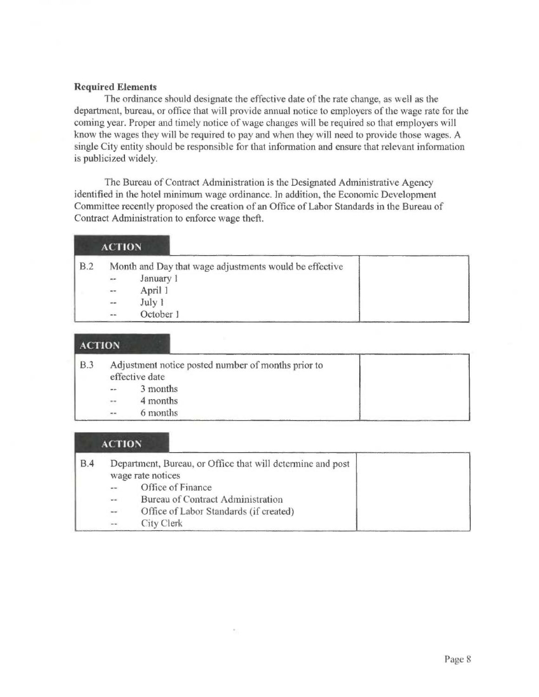### Required Elements

The ordinance should designate the effective date of the rate change, as well as the department, bureau, or office that will provide annual notice to employers of the wage rate for the coming year. Proper and timely notice of wage changes will be required so that employers will know the wages they will be required to pay and when they will need to provide those wages. A single City entity should be responsible for that information and ensure that relevant information is publicized widely.

The Bureau of Contract Administration is the Designated Administrative Agency identified in the hotel minimum wage ordinance. In addition, the Economic Development Committee recently proposed the creation of an Office of Labor Standards in the Bureau of Contract Administration to enforce wage theft.

|     | <b>ACTION</b> |                                                        |  |
|-----|---------------|--------------------------------------------------------|--|
| B.2 |               | Month and Day that wage adjustments would be effective |  |
|     | $\alpha=$     | January 1                                              |  |
|     | $\alpha=$     | April 1                                                |  |
|     | $\frac{1}{2}$ | July 1                                                 |  |
|     | $= -$         | October 1                                              |  |

# **ACTION**

| B.3 |                | Adjustment notice posted number of months prior to<br>effective date |
|-----|----------------|----------------------------------------------------------------------|
|     | $\overline{a}$ | 3 months                                                             |
|     | $\sim$         | 4 months                                                             |
|     | $\sim$ $\sim$  | 6 months                                                             |

### ACTION

| B.4 |               | Department, Bureau, or Office that will determine and post<br>wage rate notices |  |
|-----|---------------|---------------------------------------------------------------------------------|--|
|     |               | Office of Finance                                                               |  |
|     | $\sim$ $\sim$ | <b>Bureau of Contract Administration</b>                                        |  |
|     | $\sim$ $\sim$ | Office of Labor Standards (if created)                                          |  |
|     | $ -$          | City Clerk                                                                      |  |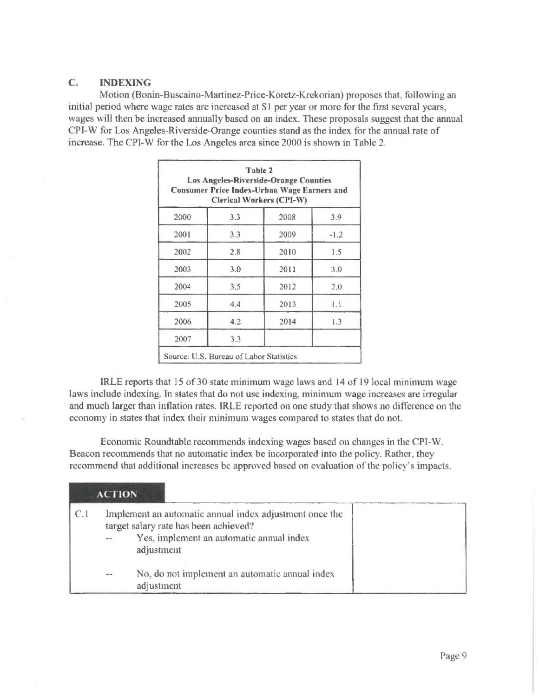# C. INDEXING

Motion (Bonin-Buscaino-Martinez-Price-Koretz-Krekorian) proposes that, following an initial period where wage rates are increased at \$1 per year or more for the first several years, wages will then be increased annually based on an index. These proposals suggest that the annual CPI-W for Los Angeles-Riverside-Orange counties stand as the index for the annual rate of increase. The CPI-W for the Los Angeles area since 2000 is shown in Table 2.

|      | Table 2<br><b>Clerical Workers (CPI-W)</b> | <b>Los Angeles-Riverside-Orange Counties</b><br><b>Consumer Price Index-Urban Wage Earners and</b> |        |
|------|--------------------------------------------|----------------------------------------------------------------------------------------------------|--------|
| 2000 | 3.3                                        | 2008                                                                                               | 3.9    |
| 2001 | 3.3                                        | 2009                                                                                               | $-1.2$ |
| 2002 | 2.8                                        | 2010                                                                                               | 1.5    |
| 2003 | 3.0                                        | 2011                                                                                               | 3.0    |
| 2004 | 3.5                                        | 2012                                                                                               | 2.0    |
| 2005 | 4.4                                        | 2013                                                                                               | 1.1    |
| 2006 | 4.2                                        | 2014                                                                                               | 1.3    |
| 2007 | 3.3                                        |                                                                                                    |        |

IRLE reports that 15 of 30 state minimum wage laws and 14 of 19 local minimum wage laws include indexing. In states that do not use indexing, minimum wage increases are irregular and much larger than inflation rates. IRLE reported on one study that shows no difference on the economy in states that index their minimum wages compared to states that do not.

Economic Roundtable recommends indexing wages based on changes in the CPI-W. Beacon recommends that no automatic index be incorporated into the policy. Rather, they recommend that additional increases be approved based on evaluation of the policy's impacts.

|     | <b>ACTION</b> |                                                                                                                                                            |  |
|-----|---------------|------------------------------------------------------------------------------------------------------------------------------------------------------------|--|
| C.1 |               | Implement an automatic annual index adjustment once the<br>target salary rate has been achieved?<br>Yes, implement an automatic annual index<br>adjustment |  |
|     | <b>Brand</b>  | No, do not implement an automatic annual index<br>adjustment                                                                                               |  |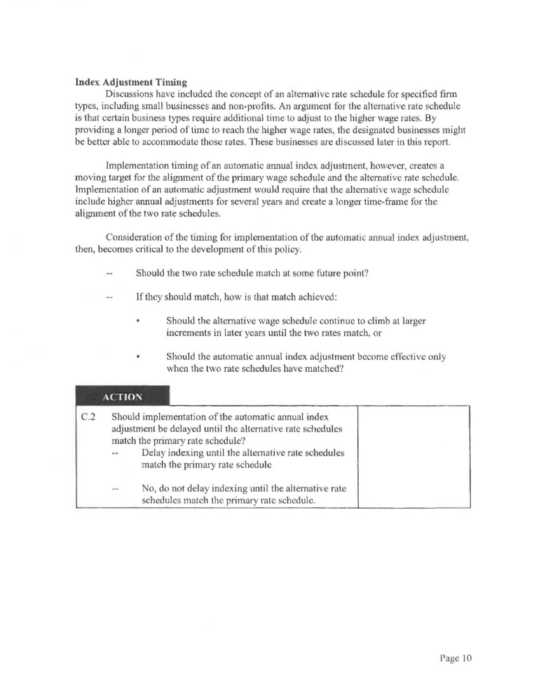### Index Adjustment Timing

Discussions have included the concept of an alternative rate schedule for specified firm types, including small businesses and non-profits. An argument for the alternative rate schedule is that certain business types require additional time to adjust to the higher wage rates. By providing a longer period of time to reach the higher wage rates, the designated businesses might be better able to accommodate those rates. These businesses are discussed later in this report.

Implementation timing of an automatic annual index adjustment, however, creates a moving target for the alignment of the primary wage schedule and the alternative rate schedule. Implementation of an automatic adjustment would require that the alternative wage schedule include higher annual adjustments for several years and create a longer time-frame for the alignment of the two rate schedules.

Consideration of the timing for implementation of the automatic annual index adjustment. then, becomes critical to the development of this policy.

- Should the two rate schedule match at some future point?
- If they should match, how is that match achieved:
	- Should the alternative wage schedule continue to climb at larger increments in later years until the two rates match, or
	- Should the automatic annual index adjustment become effective only when the two rate schedules have matched?

# ACTION

| C.2 |               | Should implementation of the automatic annual index<br>adjustment be delayed until the alternative rate schedules<br>match the primary rate schedule?<br>Delay indexing until the alternative rate schedules<br>match the primary rate schedule |
|-----|---------------|-------------------------------------------------------------------------------------------------------------------------------------------------------------------------------------------------------------------------------------------------|
|     | $\sim$ $\sim$ | No, do not delay indexing until the alternative rate<br>schedules match the primary rate schedule.                                                                                                                                              |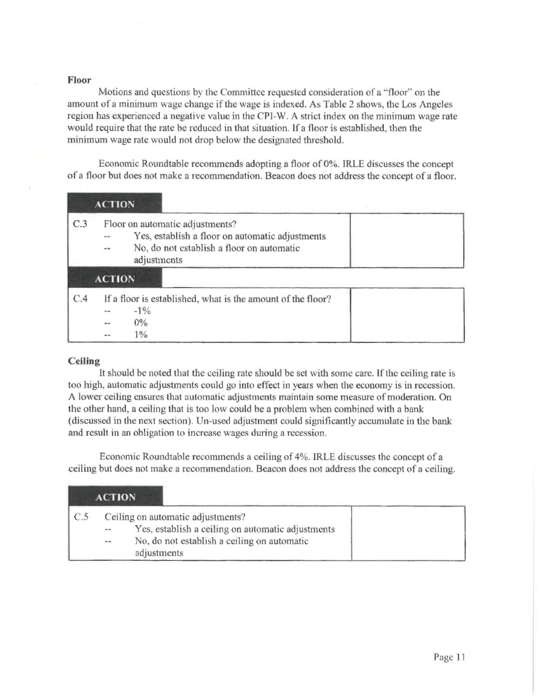### Floor

Motions and questions by the Committee requested consideration of a "floor' on the amount of a minimum wage change if the wage is indexed. As Table 2 shows, the Los Angeles region has experienced a negative value in the CPI-W. A strict index on the minimum wage rate would require that the rate be reduced in that situation. If a floor is established, then the minimum wage rate would not drop below the designated threshold.

Economic Roundtable recommends adopting a floor of 0%. IRLE discusses the concept of a floor but does not make a recommendation. Beacon does not address the concept of a floor.

|     | <b>ACTION</b>                                                                                                                                                                    |  |
|-----|----------------------------------------------------------------------------------------------------------------------------------------------------------------------------------|--|
| C.3 | Floor on automatic adjustments?<br>Yes, establish a floor on automatic adjustments<br>No, do not establish a floor on automatic<br>$\frac{1}{2}$<br>adjustments<br><b>ACTION</b> |  |
| C.4 | If a floor is established, what is the amount of the floor?<br>$-1\%$<br>$0\%$<br>$\frac{0}{6}$                                                                                  |  |

### **Ceiling**

It should be noted that the ceiling rate should be set with some care. If the ceiling rate is too high, automatic adjustments could go into effect in years when the economy is in recession. A lower ceiling ensures that automatic adjustments maintain some measure of moderation. On the other hand, a ceiling that is too low could be a problem when combined with a bank (discussed in the next section). Un-used adjustment could significantly accumulate in the bank and result in an obligation to increase wages during a recession.

Economic Roundtable recommends a ceiling of 4%. IRLE discusses the concept of a ceiling but does not make a recommendation. Beacon does not address the concept of a ceiling.

| <b>ACTION</b> |               |                                                                                                                                                      |  |
|---------------|---------------|------------------------------------------------------------------------------------------------------------------------------------------------------|--|
| $\subset$ .5  | $\sim$ $\sim$ | Ceiling on automatic adjustments?<br>Yes, establish a ceiling on automatic adjustments<br>No, do not establish a ceiling on automatic<br>adjustments |  |